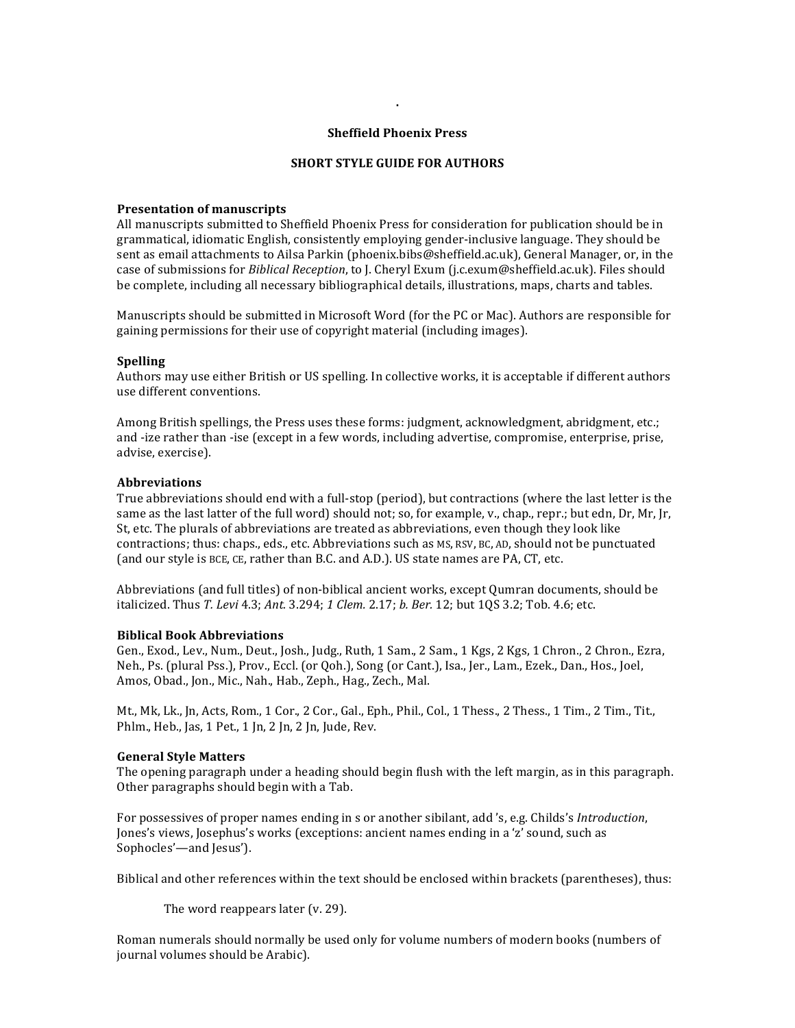### **Sheffield Phoenix Press**

**.**

### **SHORT STYLE GUIDE FOR AUTHORS**

#### **Presentation of manuscripts**

All manuscripts submitted to Sheffield Phoenix Press for consideration for publication should be in grammatical, idiomatic English, consistently employing gender-inclusive language. They should be sent as email attachments to Ailsa Parkin (phoenix.bibs@sheffield.ac.uk), General Manager, or, in the case of submissions for *Biblical Reception*, to J. Cheryl Exum (j.c.exum@sheffield.ac.uk). Files should be complete, including all necessary bibliographical details, illustrations, maps, charts and tables.

Manuscripts should be submitted in Microsoft Word (for the PC or Mac). Authors are responsible for gaining permissions for their use of copyright material (including images).

## **Spelling**

Authors may use either British or US spelling. In collective works, it is acceptable if different authors use different conventions.

Among British spellings, the Press uses these forms: judgment, acknowledgment, abridgment, etc.; and -ize rather than -ise (except in a few words, including advertise, compromise, enterprise, prise, advise, exercise).

#### **Abbreviations**

True abbreviations should end with a full-stop (period), but contractions (where the last letter is the same as the last latter of the full word) should not; so, for example, v., chap., repr.; but edn, Dr, Mr, Jr, St, etc. The plurals of abbreviations are treated as abbreviations, even though they look like contractions; thus: chaps., eds., etc. Abbreviations such as MS, RSV, BC, AD, should not be punctuated (and our style is BCE, CE, rather than B.C. and A.D.). US state names are PA, CT, etc.

Abbreviations (and full titles) of non-biblical ancient works, except Qumran documents, should be italicized. Thus *T. Levi* 4.3; Ant. 3.294; 1 Clem. 2.17; b. Ber. 12; but 1QS 3.2; Tob. 4.6; etc.

## **Biblical Book Abbreviations**

Gen., Exod., Lev., Num., Deut., Josh., Judg., Ruth, 1 Sam., 2 Sam., 1 Kgs, 2 Kgs, 1 Chron., 2 Chron., Ezra, Neh., Ps. (plural Pss.), Prov., Eccl. (or Qoh.), Song (or Cant.), Isa., Jer., Lam., Ezek., Dan., Hos., Joel, Amos, Obad., Jon., Mic., Nah., Hab., Zeph., Hag., Zech., Mal.

Mt., Mk, Lk., Jn, Acts, Rom., 1 Cor., 2 Cor., Gal., Eph., Phil., Col., 1 Thess., 2 Thess., 1 Tim., 2 Tim., Tit., Phlm., Heb., Jas, 1 Pet., 1 Jn, 2 Jn, 2 Jn, Jude, Rev.

#### **General Style Matters**

The opening paragraph under a heading should begin flush with the left margin, as in this paragraph. Other paragraphs should begin with a Tab.

For possessives of proper names ending in s or another sibilant, add 's, e.g. Childs's *Introduction*, Jones's views, Josephus's works (exceptions: ancient names ending in a 'z' sound, such as Sophocles'—and Jesus').

Biblical and other references within the text should be enclosed within brackets (parentheses), thus:

The word reappears later (v. 29).

Roman numerals should normally be used only for volume numbers of modern books (numbers of journal volumes should be Arabic).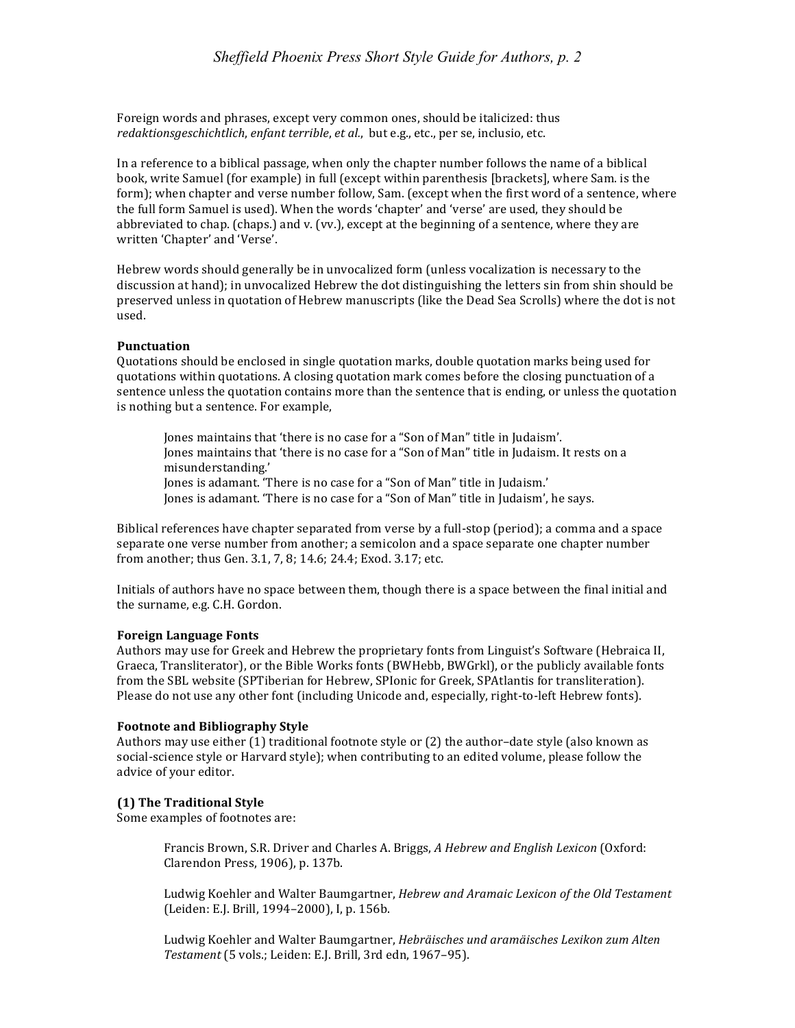Foreign words and phrases, except very common ones, should be italicized: thus *redaktionsgeschichtlich, enfant terrible, et al., but e.g., etc., per se, inclusio, etc.* 

In a reference to a biblical passage, when only the chapter number follows the name of a biblical book, write Samuel (for example) in full (except within parenthesis [brackets], where Sam. is the form); when chapter and verse number follow, Sam. (except when the first word of a sentence, where the full form Samuel is used). When the words 'chapter' and 'verse' are used, they should be abbreviated to chap. (chaps.) and  $v$ . (vv.), except at the beginning of a sentence, where they are written 'Chapter' and 'Verse'.

Hebrew words should generally be in unvocalized form (unless vocalization is necessary to the discussion at hand); in unvocalized Hebrew the dot distinguishing the letters sin from shin should be preserved unless in quotation of Hebrew manuscripts (like the Dead Sea Scrolls) where the dot is not used.

## **Punctuation**

Quotations should be enclosed in single quotation marks, double quotation marks being used for quotations within quotations. A closing quotation mark comes before the closing punctuation of a sentence unless the quotation contains more than the sentence that is ending, or unless the quotation is nothing but a sentence. For example,

Jones maintains that 'there is no case for a "Son of Man" title in Judaism'. Jones maintains that 'there is no case for a "Son of Man" title in Judaism. It rests on a misunderstanding.'

Jones is adamant. 'There is no case for a "Son of Man" title in Judaism.'

Jones is adamant. 'There is no case for a "Son of Man" title in Judaism', he says.

Biblical references have chapter separated from verse by a full-stop (period); a comma and a space separate one verse number from another; a semicolon and a space separate one chapter number from another; thus Gen. 3.1, 7, 8; 14.6; 24.4; Exod. 3.17; etc.

Initials of authors have no space between them, though there is a space between the final initial and the surname, e.g. C.H. Gordon.

## **Foreign Language Fonts**

Authors may use for Greek and Hebrew the proprietary fonts from Linguist's Software (Hebraica II, Graeca, Transliterator), or the Bible Works fonts (BWHebb, BWGrkl), or the publicly available fonts from the SBL website (SPTiberian for Hebrew, SPIonic for Greek, SPAtlantis for transliteration). Please do not use any other font (including Unicode and, especially, right-to-left Hebrew fonts).

## **Footnote and Bibliography Style**

Authors may use either  $(1)$  traditional footnote style or  $(2)$  the author-date style  $($ also known as social-science style or Harvard style); when contributing to an edited volume, please follow the advice of your editor.

# **(1) The Traditional Style**

Some examples of footnotes are:

Francis Brown, S.R. Driver and Charles A. Briggs, A Hebrew and English Lexicon (Oxford: Clarendon Press, 1906), p. 137b.

Ludwig Koehler and Walter Baumgartner, *Hebrew and Aramaic Lexicon of the Old Testament* (Leiden: E.J. Brill, 1994–2000), I. p. 156b.

Ludwig Koehler and Walter Baumgartner, *Hebräisches und aramäisches Lexikon zum Alten* Testament (5 vols.; Leiden: E.J. Brill, 3rd edn, 1967-95).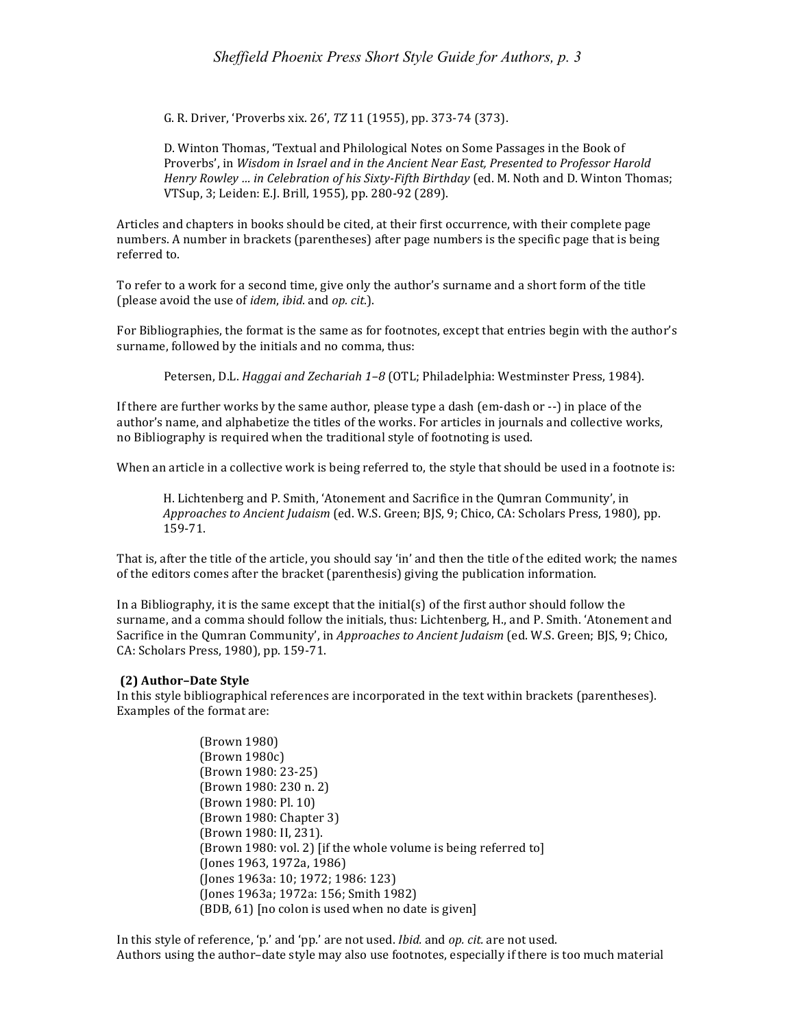G. R. Driver, 'Proverbs xix. 26', *TZ* 11 (1955), pp. 373-74 (373).

D. Winton Thomas, 'Textual and Philological Notes on Some Passages in the Book of Proverbs', in *Wisdom in Israel and in the Ancient Near East, Presented to Professor Harold Henry Rowley ... in Celebration of his Sixty-Fifth Birthday* (ed. M. Noth and D. Winton Thomas; VTSup, 3; Leiden: E.J. Brill, 1955), pp. 280-92 (289).

Articles and chapters in books should be cited, at their first occurrence, with their complete page numbers. A number in brackets (parentheses) after page numbers is the specific page that is being referred to.

To refer to a work for a second time, give only the author's surname and a short form of the title (please avoid the use of *idem*, *ibid*. and *op. cit*.).

For Bibliographies, the format is the same as for footnotes, except that entries begin with the author's surname, followed by the initials and no comma, thus:

Petersen, D.L. *Haggai and Zechariah 1-8* (OTL; Philadelphia: Westminster Press, 1984).

If there are further works by the same author, please type a dash (em-dash or  $-$ ) in place of the author's name, and alphabetize the titles of the works. For articles in journals and collective works, no Bibliography is required when the traditional style of footnoting is used.

When an article in a collective work is being referred to, the style that should be used in a footnote is:

H. Lichtenberg and P. Smith, 'Atonement and Sacrifice in the Qumran Community', in *Approaches to Ancient Judaism* (ed. W.S. Green; BJS, 9; Chico, CA: Scholars Press, 1980), pp. 159-71.

That is, after the title of the article, you should say 'in' and then the title of the edited work; the names of the editors comes after the bracket (parenthesis) giving the publication information.

In a Bibliography, it is the same except that the initial(s) of the first author should follow the surname, and a comma should follow the initials, thus: Lichtenberg, H., and P. Smith. 'Atonement and Sacrifice in the Qumran Community', in *Approaches to Ancient Judaism* (ed. W.S. Green; BJS, 9; Chico, CA: Scholars Press, 1980), pp. 159-71.

# **(2) Author–Date Style**

In this style bibliographical references are incorporated in the text within brackets (parentheses). Examples of the format are:

> (Brown 1980) (Brown 1980c) (Brown 1980: 23-25) (Brown 1980: 230 n. 2) (Brown 1980: Pl. 10) (Brown 1980: Chapter 3) (Brown 1980: II, 231). (Brown 1980: vol. 2) [if the whole volume is being referred to] (Jones 1963, 1972a, 1986) (Jones 1963a: 10; 1972; 1986: 123) (Jones 1963a; 1972a: 156; Smith 1982)  $(BDB, 61)$  [no colon is used when no date is given]

In this style of reference, 'p.' and 'pp.' are not used. *Ibid.* and *op. cit.* are not used. Authors using the author-date style may also use footnotes, especially if there is too much material